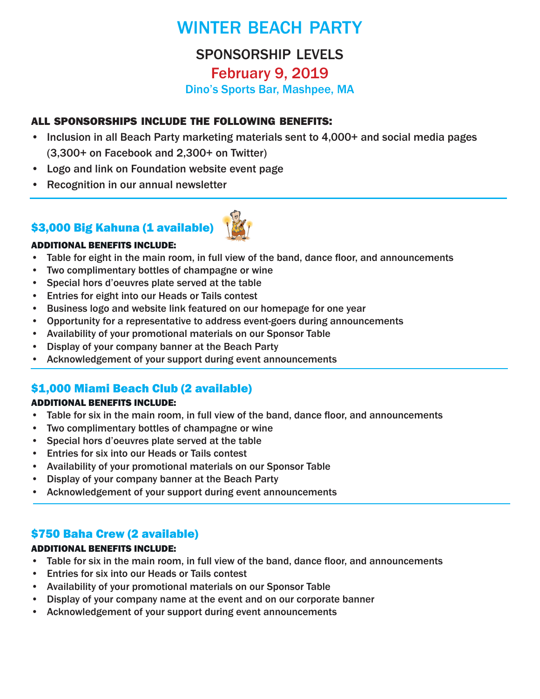# WINTER BEACH PARTY

# sponsorship levels February 9, 2019 Dino's Sports Bar, Mashpee, MA

## all sponsorships include the following benefits:

- Inclusion in all Beach Party marketing materials sent to 4,000+ and social media pages (3,300+ on Facebook and 2,300+ on Twitter)
- Logo and link on Foundation website event page
- Recognition in our annual newsletter

## \$3,000 Big Kahuna (1 available)



### ADDITIONAL BENEFITS INCLUDE:

- Table for eight in the main room, in full view of the band, dance floor, and announcements
- Two complimentary bottles of champagne or wine
- Special hors d'oeuvres plate served at the table
- Entries for eight into our Heads or Tails contest
- Business logo and website link featured on our homepage for one year
- Opportunity for a representative to address event-goers during announcements
- Availability of your promotional materials on our Sponsor Table
- Display of your company banner at the Beach Party
- Acknowledgement of your support during event announcements

## \$1,000 Miami Beach Club (2 available)

#### ADDITIONAL BENEFITS INCLUDE:

- Table for six in the main room, in full view of the band, dance floor, and announcements
- Two complimentary bottles of champagne or wine
- Special hors d'oeuvres plate served at the table
- Entries for six into our Heads or Tails contest
- Availability of your promotional materials on our Sponsor Table
- Display of your company banner at the Beach Party
- Acknowledgement of your support during event announcements

## \$750 Baha Crew (2 available)

#### ADDITIONAL BENEFITS INCLUDE:

- Table for six in the main room, in full view of the band, dance floor, and announcements
- Entries for six into our Heads or Tails contest
- Availability of your promotional materials on our Sponsor Table
- Display of your company name at the event and on our corporate banner
- Acknowledgement of your support during event announcements